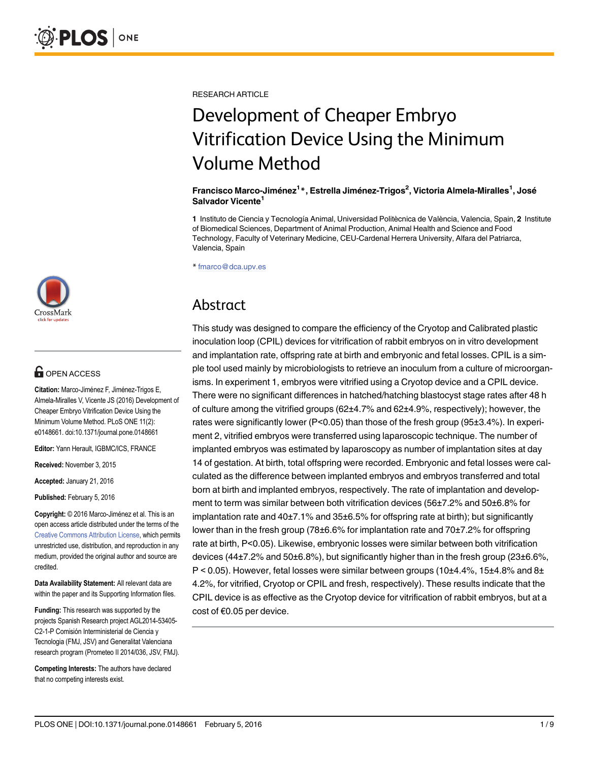# **OPEN ACCESS**

Citation: Marco-Jiménez F, Jiménez-Trigos E, Almela-Miralles V, Vicente JS (2016) Development of Cheaper Embryo Vitrification Device Using the Minimum Volume Method. PLoS ONE 11(2): e0148661. doi:10.1371/journal.pone.0148661

Editor: Yann Herault, IGBMC/ICS, FRANCE

Received: November 3, 2015

Accepted: January 21, 2016

Published: February 5, 2016

Copyright: © 2016 Marco-Jiménez et al. This is an open access article distributed under the terms of the [Creative Commons Attribution License,](http://creativecommons.org/licenses/by/4.0/) which permits unrestricted use, distribution, and reproduction in any medium, provided the original author and source are credited.

Data Availability Statement: All relevant data are within the paper and its Supporting Information files.

Funding: This research was supported by the projects Spanish Research project AGL2014-53405- C2-1-P Comisión Interministerial de Ciencia y Tecnologia (FMJ, JSV) and Generalitat Valenciana research program (Prometeo II 2014/036, JSV, FMJ).

Competing Interests: The authors have declared that no competing interests exist.

RESEARCH ARTICLE

# Development of Cheaper Embryo Vitrification Device Using the Minimum Volume Method

#### Francisco Marco-Jiménez<sup>1</sup>\*, Estrella Jiménez-Trigos<sup>2</sup>, Victoria Almela-Miralles<sup>1</sup>, José Salvador Vicente<sup>1</sup>

1 Instituto de Ciencia y Tecnología Animal, Universidad Politècnica de València, Valencia, Spain, 2 Institute of Biomedical Sciences, Department of Animal Production, Animal Health and Science and Food Technology, Faculty of Veterinary Medicine, CEU-Cardenal Herrera University, Alfara del Patriarca, Valencia, Spain

\* fmarco@dca.upv.es

# Abstract

This study was designed to compare the efficiency of the Cryotop and Calibrated plastic inoculation loop (CPIL) devices for vitrification of rabbit embryos on in vitro development and implantation rate, offspring rate at birth and embryonic and fetal losses. CPIL is a simple tool used mainly by microbiologists to retrieve an inoculum from a culture of microorganisms. In experiment 1, embryos were vitrified using a Cryotop device and a CPIL device. There were no significant differences in hatched/hatching blastocyst stage rates after 48 h of culture among the vitrified groups (62±4.7% and 62±4.9%, respectively); however, the rates were significantly lower (P<0.05) than those of the fresh group (95±3.4%). In experiment 2, vitrified embryos were transferred using laparoscopic technique. The number of implanted embryos was estimated by laparoscopy as number of implantation sites at day 14 of gestation. At birth, total offspring were recorded. Embryonic and fetal losses were calculated as the difference between implanted embryos and embryos transferred and total born at birth and implanted embryos, respectively. The rate of implantation and development to term was similar between both vitrification devices (56±7.2% and 50±6.8% for implantation rate and 40±7.1% and 35±6.5% for offspring rate at birth); but significantly lower than in the fresh group (78±6.6% for implantation rate and 70±7.2% for offspring rate at birth, P<0.05). Likewise, embryonic losses were similar between both vitrification devices (44±7.2% and 50±6.8%), but significantly higher than in the fresh group (23±6.6%, P < 0.05). However, fetal losses were similar between groups (10±4.4%, 15±4.8% and 8± 4.2%, for vitrified, Cryotop or CPIL and fresh, respectively). These results indicate that the CPIL device is as effective as the Cryotop device for vitrification of rabbit embryos, but at a cost of €0.05 per device.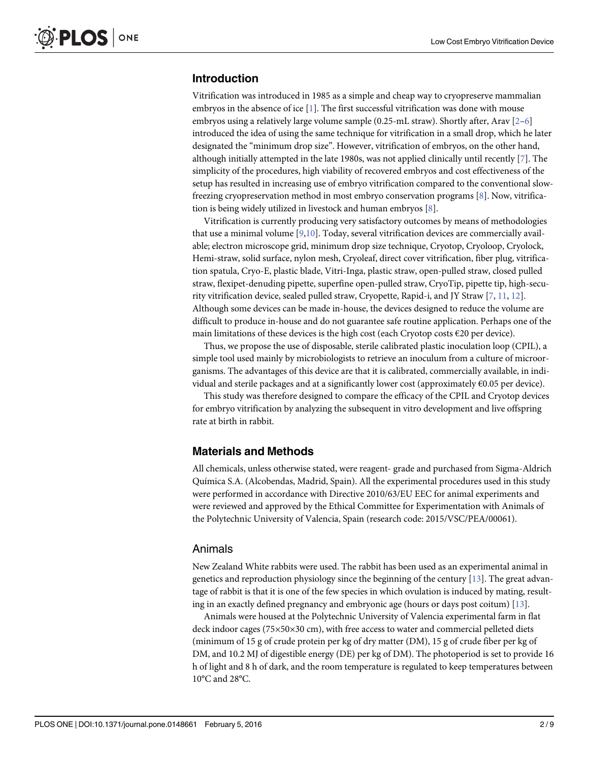## <span id="page-1-0"></span>Introduction

Vitrification was introduced in 1985 as a simple and cheap way to cryopreserve mammalian embryos in the absence of ice  $[1]$  $[1]$ . The first successful vitrification was done with mouse embryos using a relatively large volume sample (0.[2](#page-7-0)5-mL straw). Shortly after, Arav  $[2-6]$  $[2-6]$  $[2-6]$ introduced the idea of using the same technique for vitrification in a small drop, which he later designated the "minimum drop size". However, vitrification of embryos, on the other hand, although initially attempted in the late 1980s, was not applied clinically until recently [\[7\]](#page-7-0). The simplicity of the procedures, high viability of recovered embryos and cost effectiveness of the setup has resulted in increasing use of embryo vitrification compared to the conventional slowfreezing cryopreservation method in most embryo conservation programs [\[8](#page-7-0)]. Now, vitrification is being widely utilized in livestock and human embryos [\[8](#page-7-0)].

Vitrification is currently producing very satisfactory outcomes by means of methodologies that use a minimal volume  $[9,10]$  $[9,10]$ . Today, several vitrification devices are commercially available; electron microscope grid, minimum drop size technique, Cryotop, Cryoloop, Cryolock, Hemi-straw, solid surface, nylon mesh, Cryoleaf, direct cover vitrification, fiber plug, vitrification spatula, Cryo-E, plastic blade, Vitri-Inga, plastic straw, open-pulled straw, closed pulled straw, flexipet-denuding pipette, superfine open-pulled straw, CryoTip, pipette tip, high-security vitrification device, sealed pulled straw, Cryopette, Rapid-i, and JY Straw  $[7, 11, 12]$  $[7, 11, 12]$  $[7, 11, 12]$  $[7, 11, 12]$  $[7, 11, 12]$  $[7, 11, 12]$ . Although some devices can be made in-house, the devices designed to reduce the volume are difficult to produce in-house and do not guarantee safe routine application. Perhaps one of the main limitations of these devices is the high cost (each Cryotop costs €20 per device).

Thus, we propose the use of disposable, sterile calibrated plastic inoculation loop (CPIL), a simple tool used mainly by microbiologists to retrieve an inoculum from a culture of microorganisms. The advantages of this device are that it is calibrated, commercially available, in individual and sterile packages and at a significantly lower cost (approximately  $\epsilon$ 0.05 per device).

This study was therefore designed to compare the efficacy of the CPIL and Cryotop devices for embryo vitrification by analyzing the subsequent in vitro development and live offspring rate at birth in rabbit.

### Materials and Methods

All chemicals, unless otherwise stated, were reagent- grade and purchased from Sigma-Aldrich Química S.A. (Alcobendas, Madrid, Spain). All the experimental procedures used in this study were performed in accordance with Directive 2010/63/EU EEC for animal experiments and were reviewed and approved by the Ethical Committee for Experimentation with Animals of the Polytechnic University of Valencia, Spain (research code: 2015/VSC/PEA/00061).

#### Animals

New Zealand White rabbits were used. The rabbit has been used as an experimental animal in genetics and reproduction physiology since the beginning of the century  $[13]$  $[13]$  $[13]$ . The great advantage of rabbit is that it is one of the few species in which ovulation is induced by mating, resulting in an exactly defined pregnancy and embryonic age (hours or days post coitum) [[13](#page-7-0)].

Animals were housed at the Polytechnic University of Valencia experimental farm in flat deck indoor cages (75×50×30 cm), with free access to water and commercial pelleted diets (minimum of 15 g of crude protein per kg of dry matter (DM), 15 g of crude fiber per kg of DM, and 10.2 MJ of digestible energy (DE) per kg of DM). The photoperiod is set to provide 16 h of light and 8 h of dark, and the room temperature is regulated to keep temperatures between 10°C and 28°C.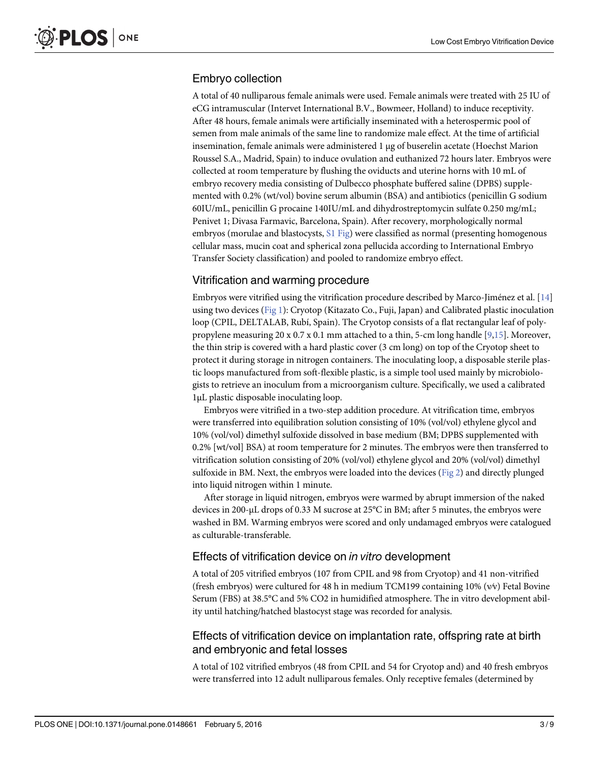# <span id="page-2-0"></span>Embryo collection

A total of 40 nulliparous female animals were used. Female animals were treated with 25 IU of eCG intramuscular (Intervet International B.V., Bowmeer, Holland) to induce receptivity. After 48 hours, female animals were artificially inseminated with a heterospermic pool of semen from male animals of the same line to randomize male effect. At the time of artificial insemination, female animals were administered 1 μg of buserelin acetate (Hoechst Marion Roussel S.A., Madrid, Spain) to induce ovulation and euthanized 72 hours later. Embryos were collected at room temperature by flushing the oviducts and uterine horns with 10 mL of embryo recovery media consisting of Dulbecco phosphate buffered saline (DPBS) supplemented with 0.2% (wt/vol) bovine serum albumin (BSA) and antibiotics (penicillin G sodium 60IU/mL, penicillin G procaine 140IU/mL and dihydrostreptomycin sulfate 0.250 mg/mL; Penivet 1; Divasa Farmavic, Barcelona, Spain). After recovery, morphologically normal embryos (morulae and blastocysts,  $S1$  Fig) were classified as normal (presenting homogenous cellular mass, mucin coat and spherical zona pellucida according to International Embryo Transfer Society classification) and pooled to randomize embryo effect.

# Vitrification and warming procedure

Embryos were vitrified using the vitrification procedure described by Marco-Jiménez et al. [[14\]](#page-7-0) using two devices ([Fig 1](#page-3-0)): Cryotop (Kitazato Co., Fuji, Japan) and Calibrated plastic inoculation loop (CPIL, DELTALAB, Rubí, Spain). The Cryotop consists of a flat rectangular leaf of polypropylene measuring 20 x 0.7 x 0.1 mm attached to a thin, 5-cm long handle [[9,15](#page-7-0)]. Moreover, the thin strip is covered with a hard plastic cover (3 cm long) on top of the Cryotop sheet to protect it during storage in nitrogen containers. The inoculating loop, a disposable sterile plastic loops manufactured from soft-flexible plastic, is a simple tool used mainly by microbiologists to retrieve an inoculum from a microorganism culture. Specifically, we used a calibrated 1μL plastic disposable inoculating loop.

Embryos were vitrified in a two-step addition procedure. At vitrification time, embryos were transferred into equilibration solution consisting of 10% (vol/vol) ethylene glycol and 10% (vol/vol) dimethyl sulfoxide dissolved in base medium (BM; DPBS supplemented with 0.2% [wt/vol] BSA) at room temperature for 2 minutes. The embryos were then transferred to vitrification solution consisting of 20% (vol/vol) ethylene glycol and 20% (vol/vol) dimethyl sulfoxide in BM. Next, the embryos were loaded into the devices [\(Fig 2](#page-4-0)) and directly plunged into liquid nitrogen within 1 minute.

After storage in liquid nitrogen, embryos were warmed by abrupt immersion of the naked devices in 200-μL drops of 0.33 M sucrose at 25°C in BM; after 5 minutes, the embryos were washed in BM. Warming embryos were scored and only undamaged embryos were catalogued as culturable-transferable.

### Effects of vitrification device on in vitro development

A total of 205 vitrified embryos (107 from CPIL and 98 from Cryotop) and 41 non-vitrified (fresh embryos) were cultured for 48 h in medium TCM199 containing 10% (v⁄v) Fetal Bovine Serum (FBS) at 38.5°C and 5% CO2 in humidified atmosphere. The in vitro development ability until hatching/hatched blastocyst stage was recorded for analysis.

# Effects of vitrification device on implantation rate, offspring rate at birth and embryonic and fetal losses

A total of 102 vitrified embryos (48 from CPIL and 54 for Cryotop and) and 40 fresh embryos were transferred into 12 adult nulliparous females. Only receptive females (determined by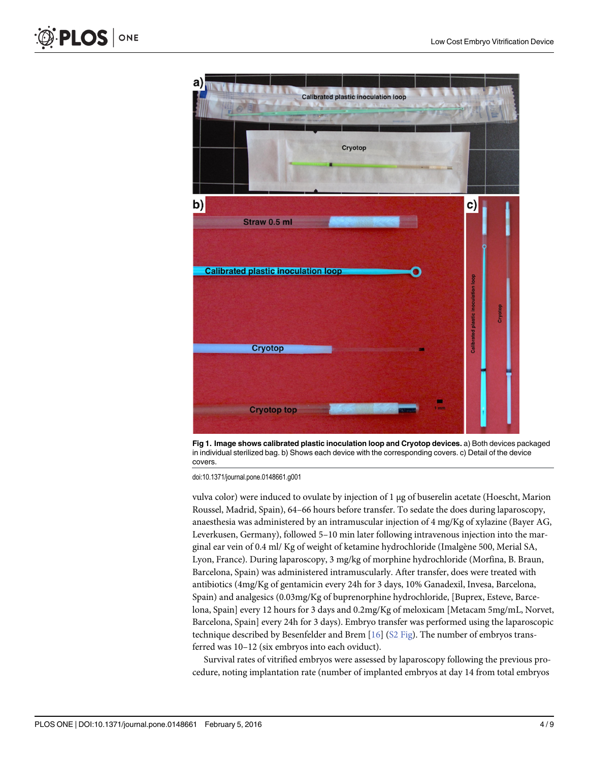<span id="page-3-0"></span>

[Fig 1. I](#page-2-0)mage shows calibrated plastic inoculation loop and Cryotop devices. a) Both devices packaged in individual sterilized bag. b) Shows each device with the corresponding covers. c) Detail of the device covers.

doi:10.1371/journal.pone.0148661.g001

vulva color) were induced to ovulate by injection of 1 μg of buserelin acetate (Hoescht, Marion Roussel, Madrid, Spain), 64–66 hours before transfer. To sedate the does during laparoscopy, anaesthesia was administered by an intramuscular injection of 4 mg/Kg of xylazine (Bayer AG, Leverkusen, Germany), followed 5–10 min later following intravenous injection into the marginal ear vein of 0.4 ml/ Kg of weight of ketamine hydrochloride (Imalgène 500, Merial SA, Lyon, France). During laparoscopy, 3 mg/kg of morphine hydrochloride (Morfina, B. Braun, Barcelona, Spain) was administered intramuscularly. After transfer, does were treated with antibiotics (4mg/Kg of gentamicin every 24h for 3 days, 10% Ganadexil, Invesa, Barcelona, Spain) and analgesics (0.03mg/Kg of buprenorphine hydrochloride, [Buprex, Esteve, Barcelona, Spain] every 12 hours for 3 days and 0.2mg/Kg of meloxicam [Metacam 5mg/mL, Norvet, Barcelona, Spain] every 24h for 3 days). Embryo transfer was performed using the laparoscopic technique described by Besenfelder and Brem  $[16]$  $[16]$  ([S2 Fig\)](#page-6-0). The number of embryos transferred was 10–12 (six embryos into each oviduct).

Survival rates of vitrified embryos were assessed by laparoscopy following the previous procedure, noting implantation rate (number of implanted embryos at day 14 from total embryos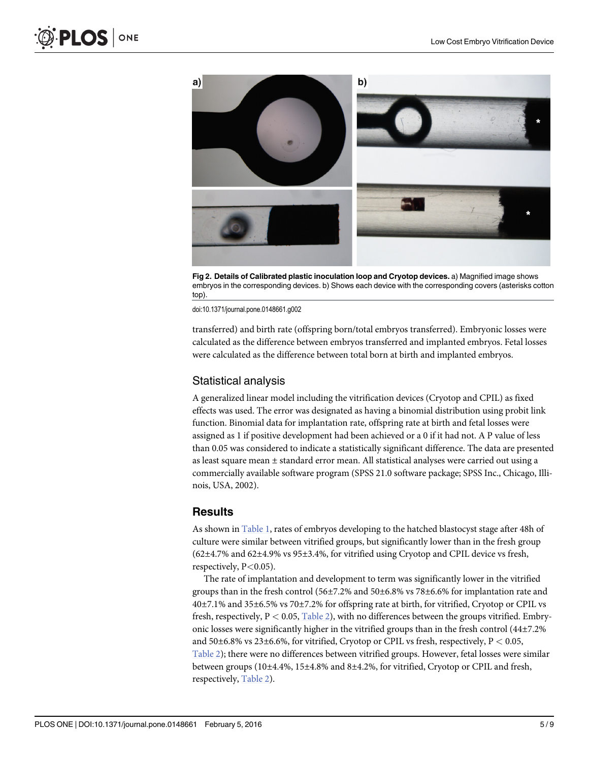<span id="page-4-0"></span>

[Fig 2. D](#page-2-0)etails of Calibrated plastic inoculation loop and Cryotop devices. a) Magnified image shows embryos in the corresponding devices. b) Shows each device with the corresponding covers (asterisks cotton top).

doi:10.1371/journal.pone.0148661.g002

transferred) and birth rate (offspring born/total embryos transferred). Embryonic losses were calculated as the difference between embryos transferred and implanted embryos. Fetal losses were calculated as the difference between total born at birth and implanted embryos.

#### Statistical analysis

A generalized linear model including the vitrification devices (Cryotop and CPIL) as fixed effects was used. The error was designated as having a binomial distribution using probit link function. Binomial data for implantation rate, offspring rate at birth and fetal losses were assigned as 1 if positive development had been achieved or a 0 if it had not. A P value of less than 0.05 was considered to indicate a statistically significant difference. The data are presented as least square mean ± standard error mean. All statistical analyses were carried out using a commercially available software program (SPSS 21.0 software package; SPSS Inc., Chicago, Illinois, USA, 2002).

### **Results**

As shown in [Table 1,](#page-5-0) rates of embryos developing to the hatched blastocyst stage after 48h of culture were similar between vitrified groups, but significantly lower than in the fresh group (62±4.7% and 62±4.9% vs 95±3.4%, for vitrified using Cryotop and CPIL device vs fresh, respectively, P<0.05).

The rate of implantation and development to term was significantly lower in the vitrified groups than in the fresh control (56±7.2% and 50±6.8% vs 78±6.6% for implantation rate and 40±7.1% and 35±6.5% vs 70±7.2% for offspring rate at birth, for vitrified, Cryotop or CPIL vs fresh, respectively,  $P < 0.05$ , [Table 2\)](#page-5-0), with no differences between the groups vitrified. Embryonic losses were significantly higher in the vitrified groups than in the fresh control (44±7.2% and  $50\pm6.8\%$  vs  $23\pm6.6\%$ , for vitrified, Cryotop or CPIL vs fresh, respectively,  $P < 0.05$ , [Table 2](#page-5-0)); there were no differences between vitrified groups. However, fetal losses were similar between groups (10±4.4%, 15±4.8% and 8±4.2%, for vitrified, Cryotop or CPIL and fresh, respectively, [Table 2](#page-5-0)).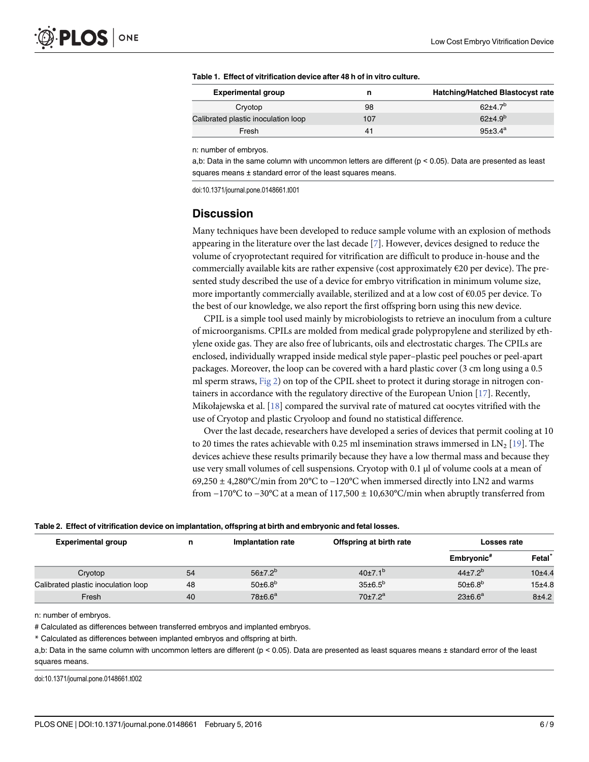| <b>Experimental group</b>           |     | <b>Hatching/Hatched Blastocyst rate</b> |
|-------------------------------------|-----|-----------------------------------------|
| Cryotop                             | 98  | $62+4.7^{b}$                            |
| Calibrated plastic inoculation loop | 107 | $62+4.9^{b}$                            |
| Fresh                               | 41  | $95{\pm}3.4^{a}$                        |

#### <span id="page-5-0"></span>[Table 1.](#page-4-0) Effect of vitrification device after 48 h of in vitro culture.

n: number of embryos.

a,b: Data in the same column with uncommon letters are different (p < 0.05). Data are presented as least squares means ± standard error of the least squares means.

doi:10.1371/journal.pone.0148661.t001

#### **Discussion**

Many techniques have been developed to reduce sample volume with an explosion of methods appearing in the literature over the last decade [\[7](#page-7-0)]. However, devices designed to reduce the volume of cryoprotectant required for vitrification are difficult to produce in-house and the commercially available kits are rather expensive (cost approximately €20 per device). The presented study described the use of a device for embryo vitrification in minimum volume size, more importantly commercially available, sterilized and at a low cost of  $\epsilon$ 0.05 per device. To the best of our knowledge, we also report the first offspring born using this new device.

CPIL is a simple tool used mainly by microbiologists to retrieve an inoculum from a culture of microorganisms. CPILs are molded from medical grade polypropylene and sterilized by ethylene oxide gas. They are also free of lubricants, oils and electrostatic charges. The CPILs are enclosed, individually wrapped inside medical style paper–plastic peel pouches or peel-apart packages. Moreover, the loop can be covered with a hard plastic cover (3 cm long using a 0.5 ml sperm straws,  $Fig 2$ ) on top of the CPIL sheet to protect it during storage in nitrogen containers in accordance with the regulatory directive of the European Union [\[17\]](#page-7-0). Recently, Mikołajewska et al. [\[18\]](#page-7-0) compared the survival rate of matured cat oocytes vitrified with the use of Cryotop and plastic Cryoloop and found no statistical difference.

Over the last decade, researchers have developed a series of devices that permit cooling at 10 to 20 times the rates achievable with 0.25 ml insemination straws immersed in  $LN_2$  [[19](#page-7-0)]. The devices achieve these results primarily because they have a low thermal mass and because they use very small volumes of cell suspensions. Cryotop with 0.1 μl of volume cools at a mean of 69,250 ± 4,280°C/min from 20°C to −120°C when immersed directly into LN2 and warms from −170°C to −30°C at a mean of 117,500 ± 10,630°C/min when abruptly transferred from

| Table 2.  Effect of vitrification device on implantation, offspring at birth and embryonic and fetal losses. |  |  |  |
|--------------------------------------------------------------------------------------------------------------|--|--|--|
|                                                                                                              |  |  |  |

| <b>Experimental group</b>           | n  | Implantation rate   | Offspring at birth rate | Losses rate      |                    |
|-------------------------------------|----|---------------------|-------------------------|------------------|--------------------|
|                                     |    |                     |                         | $Embryonic\pi$   | Fetal <sup>*</sup> |
| Cryotop                             | 54 | 56±7.2 <sup>b</sup> | 40±7.1 <sup>b</sup>     | $44{\pm}7.2^{b}$ | 10±4.4             |
| Calibrated plastic inoculation loop | 48 | $50\pm 6.8^{\circ}$ | $35\pm6.5^{b}$          | $50\pm6.8^{b}$   | $15 + 4.8$         |
| Fresh                               | 40 | $78 \pm 6.6^a$      | 70±7.2 <sup>a</sup>     | $23 \pm 6.6^a$   | $8+4.2$            |

n: number of embryos.

# Calculated as differences between transferred embryos and implanted embryos.

\* Calculated as differences between implanted embryos and offspring at birth.

a,b: Data in the same column with uncommon letters are different (p < 0.05). Data are presented as least squares means ± standard error of the least squares means.

doi:10.1371/journal.pone.0148661.t002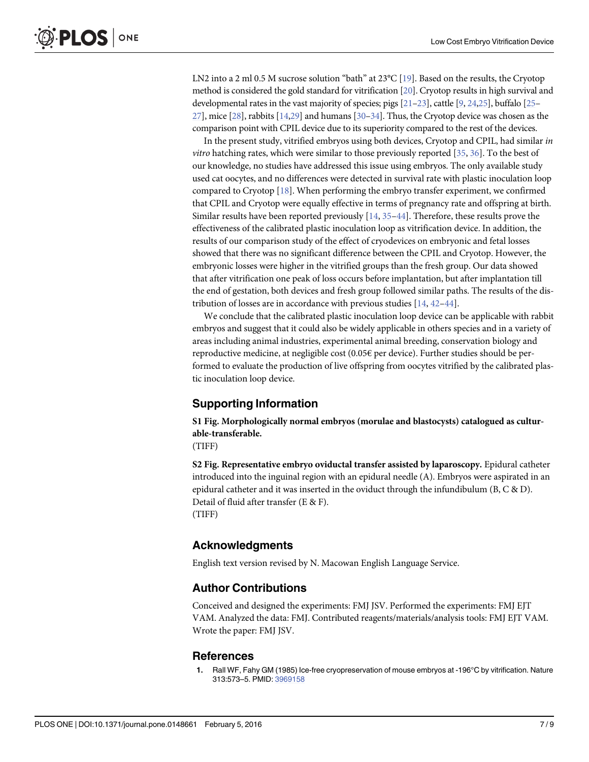<span id="page-6-0"></span>LN2 into a 2 ml 0.5 M sucrose solution "bath" at 23°C [\[19\]](#page-7-0). Based on the results, the Cryotop method is considered the gold standard for vitrification [\[20\]](#page-7-0). Cryotop results in high survival and developmental rates in the vast majority of species; pigs [\[21](#page-7-0)–[23](#page-7-0)], cattle [\[9,](#page-7-0) [24](#page-7-0),[25](#page-8-0)], buffalo [\[25](#page-8-0)–  $27$ ], mice [\[28\]](#page-8-0), rabbits [\[14,](#page-7-0)[29](#page-8-0)] and humans [[30](#page-8-0)–[34\]](#page-8-0). Thus, the Cryotop device was chosen as the comparison point with CPIL device due to its superiority compared to the rest of the devices.

In the present study, vitrified embryos using both devices, Cryotop and CPIL, had similar in *vitro* hatching rates, which were similar to those previously reported  $[35, 36]$  $[35, 36]$  $[35, 36]$  $[35, 36]$  $[35, 36]$ . To the best of our knowledge, no studies have addressed this issue using embryos. The only available study used cat oocytes, and no differences were detected in survival rate with plastic inoculation loop compared to Cryotop [\[18\]](#page-7-0). When performing the embryo transfer experiment, we confirmed that CPIL and Cryotop were equally effective in terms of pregnancy rate and offspring at birth. Similar results have been reported previously  $[14, 35-44]$  $[14, 35-44]$  $[14, 35-44]$  $[14, 35-44]$  $[14, 35-44]$  $[14, 35-44]$ . Therefore, these results prove the effectiveness of the calibrated plastic inoculation loop as vitrification device. In addition, the results of our comparison study of the effect of cryodevices on embryonic and fetal losses showed that there was no significant difference between the CPIL and Cryotop. However, the embryonic losses were higher in the vitrified groups than the fresh group. Our data showed that after vitrification one peak of loss occurs before implantation, but after implantation till the end of gestation, both devices and fresh group followed similar paths. The results of the distribution of losses are in accordance with previous studies [[14](#page-7-0), [42](#page-8-0)–[44\]](#page-8-0).

We conclude that the calibrated plastic inoculation loop device can be applicable with rabbit embryos and suggest that it could also be widely applicable in others species and in a variety of areas including animal industries, experimental animal breeding, conservation biology and reproductive medicine, at negligible cost (0.05€ per device). Further studies should be performed to evaluate the production of live offspring from oocytes vitrified by the calibrated plastic inoculation loop device.

# Supporting Information

[S1 Fig.](http://www.plosone.org/article/fetchSingleRepresentation.action?uri=info:doi/10.1371/journal.pone.0148661.s001) Morphologically normal embryos (morulae and blastocysts) catalogued as culturable-transferable.

(TIFF)

[S2 Fig.](http://www.plosone.org/article/fetchSingleRepresentation.action?uri=info:doi/10.1371/journal.pone.0148661.s002) Representative embryo oviductal transfer assisted by laparoscopy. Epidural catheter introduced into the inguinal region with an epidural needle (A). Embryos were aspirated in an epidural catheter and it was inserted in the oviduct through the infundibulum  $(B, C \& D)$ . Detail of fluid after transfer (E & F). (TIFF)

### Acknowledgments

English text version revised by N. Macowan English Language Service.

### Author Contributions

Conceived and designed the experiments: FMJ JSV. Performed the experiments: FMJ EJT VAM. Analyzed the data: FMJ. Contributed reagents/materials/analysis tools: FMJ EJT VAM. Wrote the paper: FMJ JSV.

#### **References**

Rall WF, Fahy GM (1985) Ice-free cryopreservation of mouse embryos at -196°C by vitrification. Nature 313:573–5. PMID: [3969158](http://www.ncbi.nlm.nih.gov/pubmed/3969158)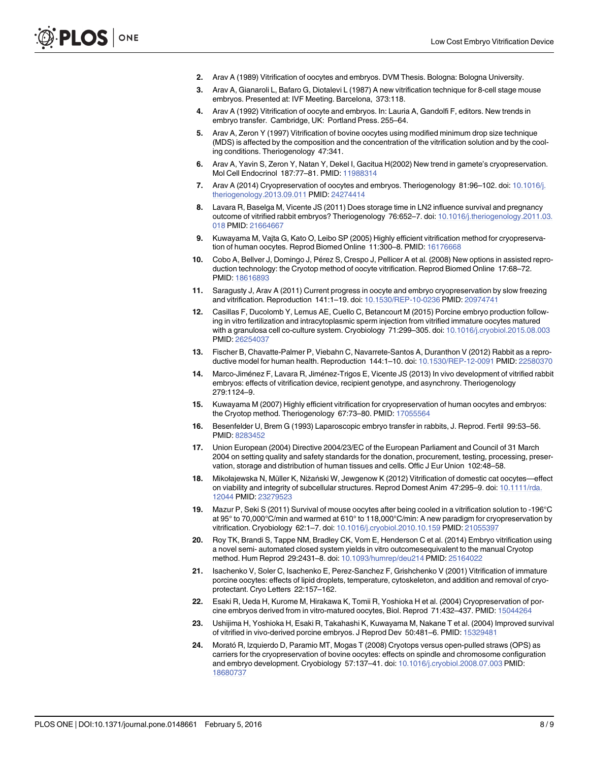- <span id="page-7-0"></span>[2.](#page-1-0) Arav A (1989) Vitrification of oocytes and embryos. DVM Thesis. Bologna: Bologna University.
- 3. Arav A, Gianaroli L, Bafaro G, Diotalevi L (1987) A new vitrification technique for 8-cell stage mouse embryos. Presented at: IVF Meeting. Barcelona, 373:118.
- 4. Arav A (1992) Vitrification of oocyte and embryos. In: Lauria A, Gandolfi F, editors. New trends in embryo transfer. Cambridge, UK: Portland Press. 255–64.
- 5. Arav A, Zeron Y (1997) Vitrification of bovine oocytes using modified minimum drop size technique (MDS) is affected by the composition and the concentration of the vitrification solution and by the cooling conditions. Theriogenology 47:341.
- [6.](#page-1-0) Arav A, Yavin S, Zeron Y, Natan Y, Dekel I, Gacitua H(2002) New trend in gamete's cryopreservation. Mol Cell Endocrinol 187:77–81. PMID: [11988314](http://www.ncbi.nlm.nih.gov/pubmed/11988314)
- [7.](#page-1-0) Arav A (2014) Cryopreservation of oocytes and embryos. Theriogenology 81:96–102. doi: [10.1016/j.](http://dx.doi.org/10.1016/j.theriogenology.2013.09.011) [theriogenology.2013.09.011](http://dx.doi.org/10.1016/j.theriogenology.2013.09.011) PMID: [24274414](http://www.ncbi.nlm.nih.gov/pubmed/24274414)
- [8.](#page-1-0) Lavara R, Baselga M, Vicente JS (2011) Does storage time in LN2 influence survival and pregnancy outcome of vitrified rabbit embryos? Theriogenology 76:652-7. doi: [10.1016/j.theriogenology.2011.03.](http://dx.doi.org/10.1016/j.theriogenology.2011.03.018) [018](http://dx.doi.org/10.1016/j.theriogenology.2011.03.018) PMID: [21664667](http://www.ncbi.nlm.nih.gov/pubmed/21664667)
- [9.](#page-1-0) Kuwayama M, Vajta G, Kato O, Leibo SP (2005) Highly efficient vitrification method for cryopreservation of human oocytes. Reprod Biomed Online 11:300–8. PMID: [16176668](http://www.ncbi.nlm.nih.gov/pubmed/16176668)
- [10.](#page-1-0) Cobo A, Bellver J, Domingo J, Pérez S, Crespo J, Pellicer A et al. (2008) New options in assisted reproduction technology: the Cryotop method of oocyte vitrification. Reprod Biomed Online 17:68–72. PMID: [18616893](http://www.ncbi.nlm.nih.gov/pubmed/18616893)
- [11.](#page-1-0) Saragusty J, Arav A (2011) Current progress in oocyte and embryo cryopreservation by slow freezing and vitrification. Reproduction 141:1–19. doi: [10.1530/REP-10-0236](http://dx.doi.org/10.1530/REP-10-0236) PMID: [20974741](http://www.ncbi.nlm.nih.gov/pubmed/20974741)
- [12.](#page-1-0) Casillas F, Ducolomb Y, Lemus AE, Cuello C, Betancourt M (2015) Porcine embryo production following in vitro fertilization and intracytoplasmic sperm injection from vitrified immature oocytes matured with a granulosa cell co-culture system. Cryobiology 71:299–305. doi: [10.1016/j.cryobiol.2015.08.003](http://dx.doi.org/10.1016/j.cryobiol.2015.08.003) PMID: [26254037](http://www.ncbi.nlm.nih.gov/pubmed/26254037)
- [13.](#page-1-0) Fischer B, Chavatte-Palmer P, Viebahn C, Navarrete-Santos A, Duranthon V (2012) Rabbit as a reproductive model for human health. Reproduction 144:1–10. doi: [10.1530/REP-12-0091](http://dx.doi.org/10.1530/REP-12-0091) PMID: [22580370](http://www.ncbi.nlm.nih.gov/pubmed/22580370)
- [14.](#page-2-0) Marco-Jiménez F, Lavara R, Jiménez-Trigos E, Vicente JS (2013) In vivo development of vitrified rabbit embryos: effects of vitrification device, recipient genotype, and asynchrony. Theriogenology 279:1124–9.
- [15.](#page-2-0) Kuwayama M (2007) Highly efficient vitrification for cryopreservation of human oocytes and embryos: the Cryotop method. Theriogenology 67:73-80. PMID: [17055564](http://www.ncbi.nlm.nih.gov/pubmed/17055564)
- [16.](#page-3-0) Besenfelder U, Brem G (1993) Laparoscopic embryo transfer in rabbits, J. Reprod. Fertil 99:53–56. PMID: [8283452](http://www.ncbi.nlm.nih.gov/pubmed/8283452)
- [17.](#page-5-0) Union European (2004) Directive 2004/23/EC of the European Parliament and Council of 31 March 2004 on setting quality and safety standards for the donation, procurement, testing, processing, preservation, storage and distribution of human tissues and cells. Offic J Eur Union 102:48–58.
- [18.](#page-5-0) Mikołajewska N, Müller K, Niżański W, Jewgenow K (2012) Vitrification of domestic cat oocytes—effect on viability and integrity of subcellular structures. Reprod Domest Anim 47:295–9. doi: [10.1111/rda.](http://dx.doi.org/10.1111/rda.12044) [12044](http://dx.doi.org/10.1111/rda.12044) PMID: [23279523](http://www.ncbi.nlm.nih.gov/pubmed/23279523)
- [19.](#page-5-0) Mazur P, Seki S (2011) Survival of mouse oocytes after being cooled in a vitrification solution to -196°C at 95° to 70,000°C/min and warmed at 610° to 118,000°C/min: A new paradigm for cryopreservation by vitrification. Cryobiology 62:1–7. doi: [10.1016/j.cryobiol.2010.10.159](http://dx.doi.org/10.1016/j.cryobiol.2010.10.159) PMID: [21055397](http://www.ncbi.nlm.nih.gov/pubmed/21055397)
- [20.](#page-6-0) Roy TK, Brandi S, Tappe NM, Bradley CK, Vom E, Henderson C et al. (2014) Embryo vitrification using a novel semi- automated closed system yields in vitro outcomesequivalent to the manual Cryotop method. Hum Reprod 29:2431–8. doi: [10.1093/humrep/deu214](http://dx.doi.org/10.1093/humrep/deu214) PMID: [25164022](http://www.ncbi.nlm.nih.gov/pubmed/25164022)
- [21.](#page-6-0) Isachenko V, Soler C, Isachenko E, Perez-Sanchez F, Grishchenko V (2001) Vitrification of immature porcine oocytes: effects of lipid droplets, temperature, cytoskeleton, and addition and removal of cryoprotectant. Cryo Letters 22:157–162.
- 22. Esaki R, Ueda H, Kurome M, Hirakawa K, Tomii R, Yoshioka H et al. (2004) Cryopreservation of porcine embryos derived from in vitro-matured oocytes, Biol. Reprod 71:432–437. PMID: [15044264](http://www.ncbi.nlm.nih.gov/pubmed/15044264)
- [23.](#page-6-0) Ushijima H, Yoshioka H, Esaki R, Takahashi K, Kuwayama M, Nakane T et al. (2004) Improved survival of vitrified in vivo-derived porcine embryos. J Reprod Dev 50:481–6. PMID: [15329481](http://www.ncbi.nlm.nih.gov/pubmed/15329481)
- [24.](#page-6-0) Morató R, Izquierdo D, Paramio MT, Mogas T (2008) Cryotops versus open-pulled straws (OPS) as carriers for the cryopreservation of bovine oocytes: effects on spindle and chromosome configuration and embryo development. Cryobiology 57:137–41. doi: [10.1016/j.cryobiol.2008.07.003](http://dx.doi.org/10.1016/j.cryobiol.2008.07.003) PMID: [18680737](http://www.ncbi.nlm.nih.gov/pubmed/18680737)